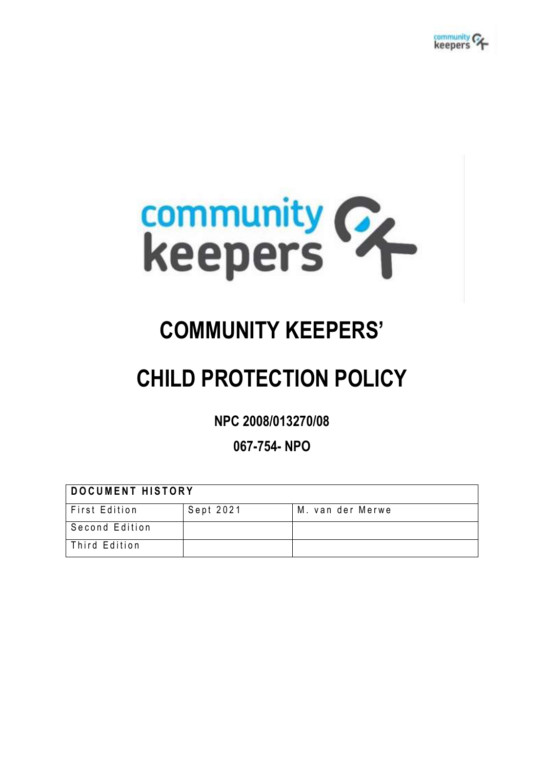



# **COMMUNITY KEEPERS'**

## **CHILD PROTECTION POLICY**

**NPC 2008/013270/08**

**067-754- NPO**

| DOCUMENT HISTORY |           |                  |  |  |
|------------------|-----------|------------------|--|--|
| First Edition    | Sept 2021 | M. van der Merwe |  |  |
| Second Edition   |           |                  |  |  |
| Third Edition    |           |                  |  |  |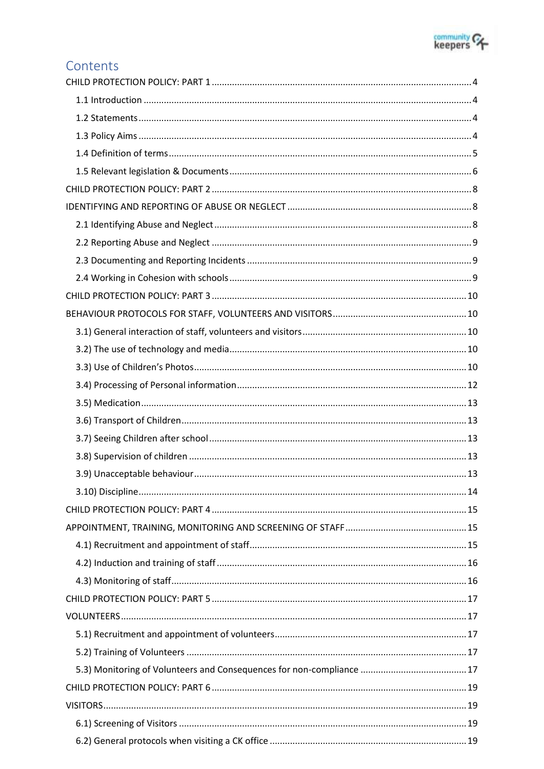

### Contents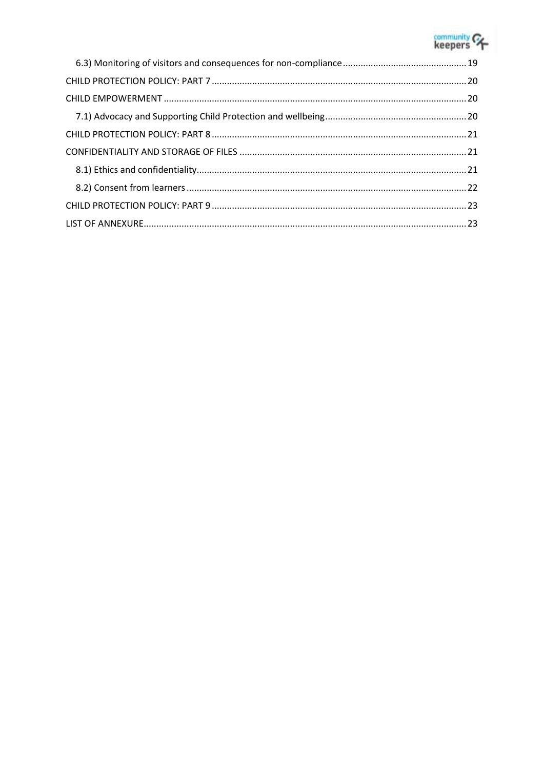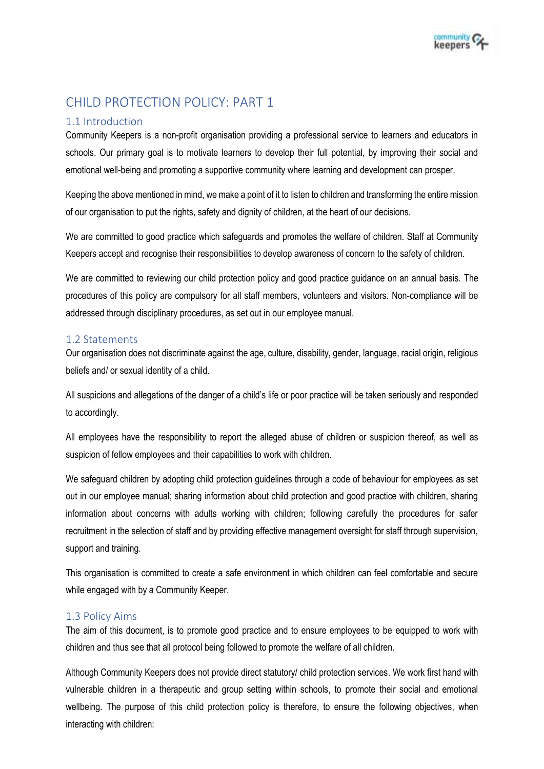

#### <span id="page-3-1"></span><span id="page-3-0"></span>1.1 Introduction

Community Keepers is a non-profit organisation providing a professional service to learners and educators in schools. Our primary goal is to motivate learners to develop their full potential, by improving their social and emotional well-being and promoting a supportive community where learning and development can prosper.

Keeping the above mentioned in mind, we make a point of it to listen to children and transforming the entire mission of our organisation to put the rights, safety and dignity of children, at the heart of our decisions.

We are committed to good practice which safeguards and promotes the welfare of children. Staff at Community Keepers accept and recognise their responsibilities to develop awareness of concern to the safety of children.

We are committed to reviewing our child protection policy and good practice guidance on an annual basis. The procedures of this policy are compulsory for all staff members, volunteers and visitors. Non-compliance will be addressed through disciplinary procedures, as set out in our employee manual.

#### <span id="page-3-2"></span>1.2 Statements

Our organisation does not discriminate against the age, culture, disability, gender, language, racial origin, religious beliefs and/ or sexual identity of a child.

All suspicions and allegations of the danger of a child's life or poor practice will be taken seriously and responded to accordingly.

All employees have the responsibility to report the alleged abuse of children or suspicion thereof, as well as suspicion of fellow employees and their capabilities to work with children.

We safeguard children by adopting child protection guidelines through a code of behaviour for employees as set out in our employee manual; sharing information about child protection and good practice with children, sharing information about concerns with adults working with children; following carefully the procedures for safer recruitment in the selection of staff and by providing effective management oversight for staff through supervision, support and training.

This organisation is committed to create a safe environment in which children can feel comfortable and secure while engaged with by a Community Keeper.

#### <span id="page-3-3"></span>1.3 Policy Aims

The aim of this document, is to promote good practice and to ensure employees to be equipped to work with children and thus see that all protocol being followed to promote the welfare of all children.

Although Community Keepers does not provide direct statutory/ child protection services. We work first hand with vulnerable children in a therapeutic and group setting within schools, to promote their social and emotional wellbeing. The purpose of this child protection policy is therefore, to ensure the following objectives, when interacting with children: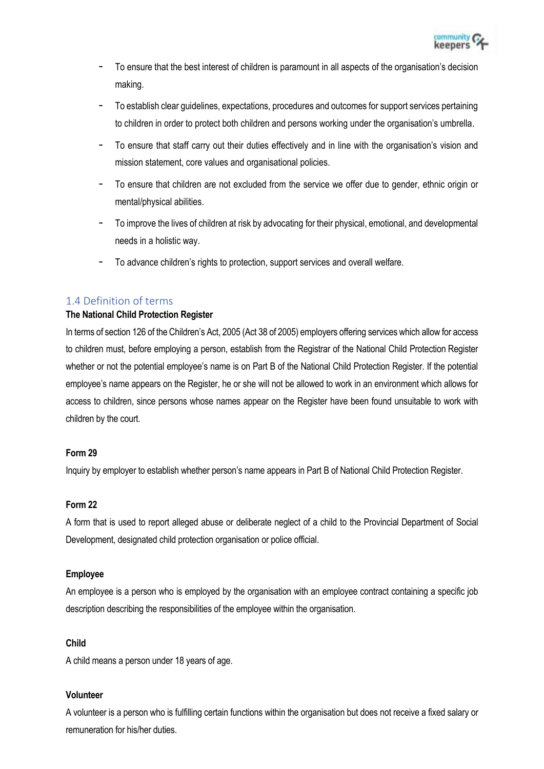

- To ensure that the best interest of children is paramount in all aspects of the organisation's decision making.
- To establish clear guidelines, expectations, procedures and outcomes for support services pertaining to children in order to protect both children and persons working under the organisation's umbrella.
- To ensure that staff carry out their duties effectively and in line with the organisation's vision and mission statement, core values and organisational policies.
- To ensure that children are not excluded from the service we offer due to gender, ethnic origin or mental/physical abilities.
- To improve the lives of children at risk by advocating for their physical, emotional, and developmental needs in a holistic way.
- To advance children's rights to protection, support services and overall welfare.

#### <span id="page-4-0"></span>1.4 Definition of terms

#### **The National Child Protection Register**

In terms of section 126 of the Children's Act, 2005 (Act 38 of 2005) employers offering services which allow for access to children must, before employing a person, establish from the Registrar of the National Child Protection Register whether or not the potential employee's name is on Part B of the National Child Protection Register. If the potential employee's name appears on the Register, he or she will not be allowed to work in an environment which allows for access to children, since persons whose names appear on the Register have been found unsuitable to work with children by the court.

#### **Form 29**

Inquiry by employer to establish whether person's name appears in Part B of National Child Protection Register.

#### **Form 22**

A form that is used to report alleged abuse or deliberate neglect of a child to the Provincial Department of Social Development, designated child protection organisation or police official.

#### **Employee**

An employee is a person who is employed by the organisation with an employee contract containing a specific job description describing the responsibilities of the employee within the organisation.

#### **Child**

A child means a person under 18 years of age.

#### **Volunteer**

A volunteer is a person who is fulfilling certain functions within the organisation but does not receive a fixed salary or remuneration for his/her duties.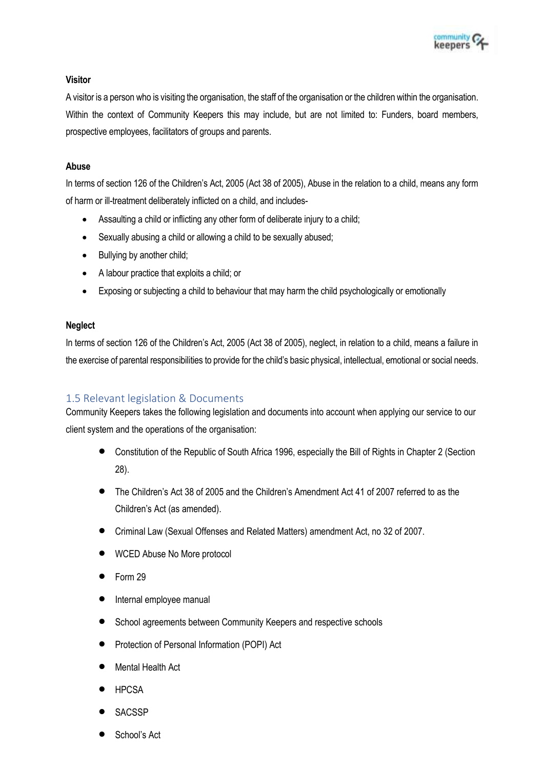

#### **Visitor**

A visitor is a person who is visiting the organisation, the staff of the organisation or the children within the organisation. Within the context of Community Keepers this may include, but are not limited to: Funders, board members, prospective employees, facilitators of groups and parents.

#### **Abuse**

In terms of section 126 of the Children's Act, 2005 (Act 38 of 2005), Abuse in the relation to a child, means any form of harm or ill-treatment deliberately inflicted on a child, and includes-

- Assaulting a child or inflicting any other form of deliberate injury to a child;
- Sexually abusing a child or allowing a child to be sexually abused;
- Bullying by another child;
- A labour practice that exploits a child; or
- Exposing or subjecting a child to behaviour that may harm the child psychologically or emotionally

#### **Neglect**

In terms of section 126 of the Children's Act, 2005 (Act 38 of 2005), neglect, in relation to a child, means a failure in the exercise of parental responsibilities to provide for the child's basic physical, intellectual, emotional or social needs.

#### <span id="page-5-0"></span>1.5 Relevant legislation & Documents

Community Keepers takes the following legislation and documents into account when applying our service to our client system and the operations of the organisation:

- Constitution of the Republic of South Africa 1996, especially the Bill of Rights in Chapter 2 (Section 28).
- The Children's Act 38 of 2005 and the Children's Amendment Act 41 of 2007 referred to as the Children's Act (as amended).
- Criminal Law (Sexual Offenses and Related Matters) amendment Act, no 32 of 2007.
- WCED Abuse No More protocol
- Form 29
- Internal employee manual
- School agreements between Community Keepers and respective schools
- Protection of Personal Information (POPI) Act
- Mental Health Act
- **HPCSA**
- **SACSSP**
- School's Act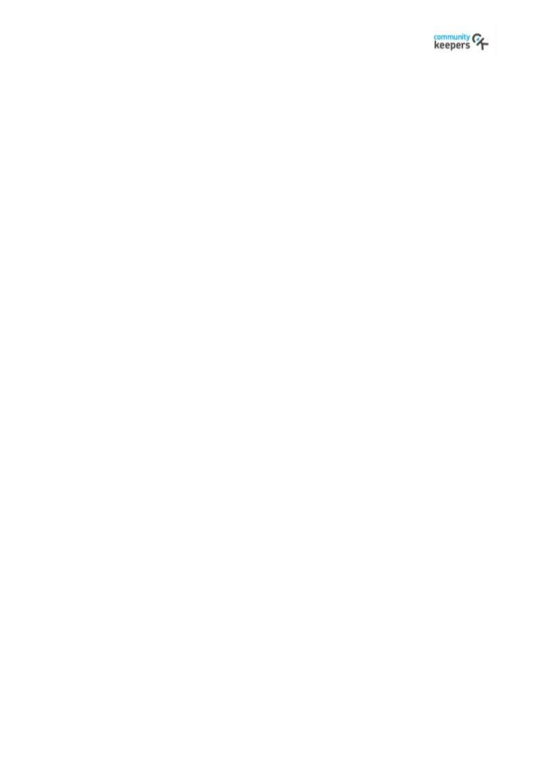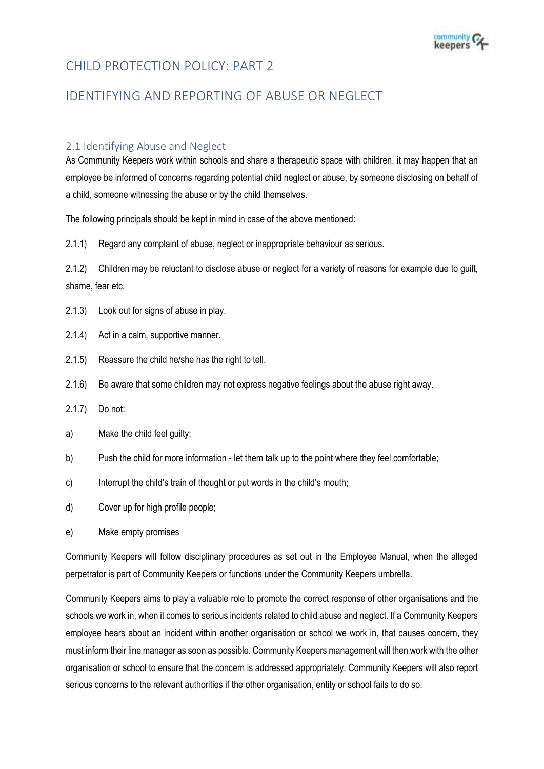

### <span id="page-7-1"></span><span id="page-7-0"></span>IDENTIFYING AND REPORTING OF ABUSE OR NEGLECT

#### <span id="page-7-2"></span>2.1 Identifying Abuse and Neglect

As Community Keepers work within schools and share a therapeutic space with children, it may happen that an employee be informed of concerns regarding potential child neglect or abuse, by someone disclosing on behalf of a child, someone witnessing the abuse or by the child themselves.

The following principals should be kept in mind in case of the above mentioned:

2.1.1) Regard any complaint of abuse, neglect or inappropriate behaviour as serious.

2.1.2) Children may be reluctant to disclose abuse or neglect for a variety of reasons for example due to guilt, shame, fear etc.

- 2.1.3) Look out for signs of abuse in play.
- 2.1.4) Act in a calm, supportive manner.
- 2.1.5) Reassure the child he/she has the right to tell.
- 2.1.6) Be aware that some children may not express negative feelings about the abuse right away.
- 2.1.7) Do not:
- a) Make the child feel guilty;
- b) Push the child for more information let them talk up to the point where they feel comfortable;
- c) Interrupt the child's train of thought or put words in the child's mouth;
- d) Cover up for high profile people;
- e) Make empty promises

Community Keepers will follow disciplinary procedures as set out in the Employee Manual, when the alleged perpetrator is part of Community Keepers or functions under the Community Keepers umbrella.

Community Keepers aims to play a valuable role to promote the correct response of other organisations and the schools we work in, when it comes to serious incidents related to child abuse and neglect. If a Community Keepers employee hears about an incident within another organisation or school we work in, that causes concern, they must inform their line manager as soon as possible. Community Keepers management will then work with the other organisation or school to ensure that the concern is addressed appropriately. Community Keepers will also report serious concerns to the relevant authorities if the other organisation, entity or school fails to do so.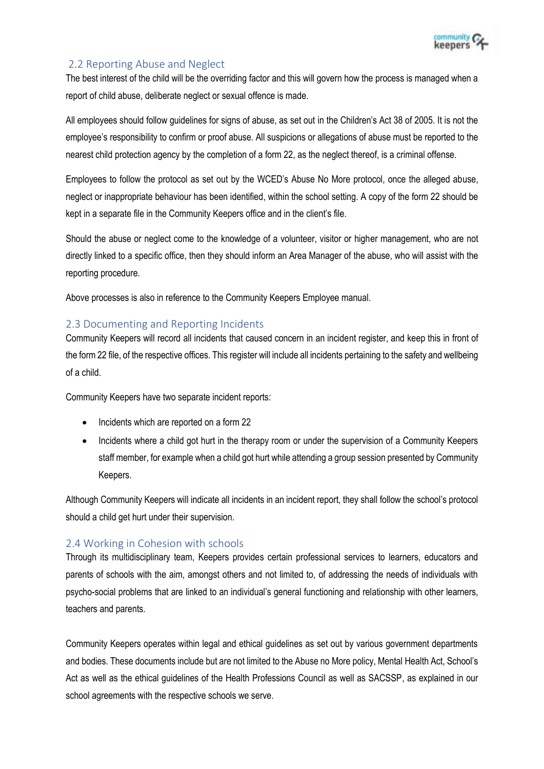

#### <span id="page-8-0"></span>2.2 Reporting Abuse and Neglect

The best interest of the child will be the overriding factor and this will govern how the process is managed when a report of child abuse, deliberate neglect or sexual offence is made.

All employees should follow guidelines for signs of abuse, as set out in the Children's Act 38 of 2005. It is not the employee's responsibility to confirm or proof abuse. All suspicions or allegations of abuse must be reported to the nearest child protection agency by the completion of a form 22, as the neglect thereof, is a criminal offense.

Employees to follow the protocol as set out by the WCED's Abuse No More protocol, once the alleged abuse, neglect or inappropriate behaviour has been identified, within the school setting. A copy of the form 22 should be kept in a separate file in the Community Keepers office and in the client's file.

Should the abuse or neglect come to the knowledge of a volunteer, visitor or higher management, who are not directly linked to a specific office, then they should inform an Area Manager of the abuse, who will assist with the reporting procedure.

Above processes is also in reference to the Community Keepers Employee manual.

#### <span id="page-8-1"></span>2.3 Documenting and Reporting Incidents

Community Keepers will record all incidents that caused concern in an incident register, and keep this in front of the form 22 file, of the respective offices. This register will include all incidents pertaining to the safety and wellbeing of a child.

Community Keepers have two separate incident reports:

- Incidents which are reported on a form 22
- Incidents where a child got hurt in the therapy room or under the supervision of a Community Keepers staff member, for example when a child got hurt while attending a group session presented by Community Keepers.

Although Community Keepers will indicate all incidents in an incident report, they shall follow the school's protocol should a child get hurt under their supervision.

#### <span id="page-8-2"></span>2.4 Working in Cohesion with schools

Through its multidisciplinary team, Keepers provides certain professional services to learners, educators and parents of schools with the aim, amongst others and not limited to, of addressing the needs of individuals with psycho-social problems that are linked to an individual's general functioning and relationship with other learners, teachers and parents.

Community Keepers operates within legal and ethical guidelines as set out by various government departments and bodies. These documents include but are not limited to the Abuse no More policy, Mental Health Act, School's Act as well as the ethical guidelines of the Health Professions Council as well as SACSSP, as explained in our school agreements with the respective schools we serve.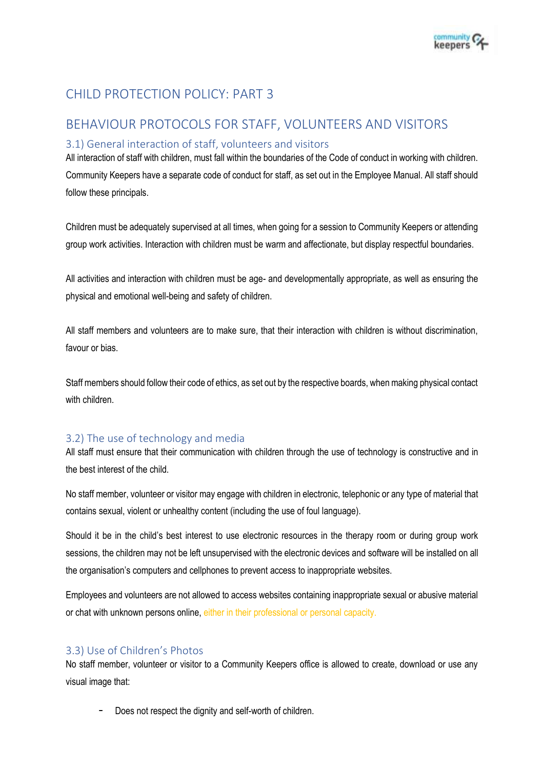

### <span id="page-9-1"></span><span id="page-9-0"></span>BEHAVIOUR PROTOCOLS FOR STAFF, VOLUNTEERS AND VISITORS

#### <span id="page-9-2"></span>3.1) General interaction of staff, volunteers and visitors

All interaction of staff with children, must fall within the boundaries of the Code of conduct in working with children. Community Keepers have a separate code of conduct for staff, as set out in the Employee Manual. All staff should follow these principals.

Children must be adequately supervised at all times, when going for a session to Community Keepers or attending group work activities. Interaction with children must be warm and affectionate, but display respectful boundaries.

All activities and interaction with children must be age- and developmentally appropriate, as well as ensuring the physical and emotional well-being and safety of children.

All staff members and volunteers are to make sure, that their interaction with children is without discrimination, favour or bias.

Staff members should follow their code of ethics, as set out by the respective boards, when making physical contact with children

#### <span id="page-9-3"></span>3.2) The use of technology and media

All staff must ensure that their communication with children through the use of technology is constructive and in the best interest of the child.

No staff member, volunteer or visitor may engage with children in electronic, telephonic or any type of material that contains sexual, violent or unhealthy content (including the use of foul language).

Should it be in the child's best interest to use electronic resources in the therapy room or during group work sessions, the children may not be left unsupervised with the electronic devices and software will be installed on all the organisation's computers and cellphones to prevent access to inappropriate websites.

Employees and volunteers are not allowed to access websites containing inappropriate sexual or abusive material or chat with unknown persons online, either in their professional or personal capacity.

#### <span id="page-9-4"></span>3.3) Use of Children's Photos

No staff member, volunteer or visitor to a Community Keepers office is allowed to create, download or use any visual image that:

Does not respect the dignity and self-worth of children.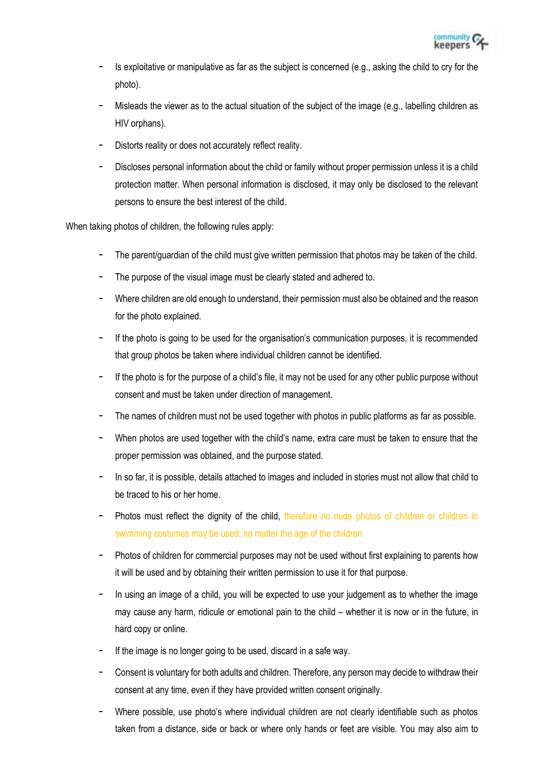

- Is exploitative or manipulative as far as the subject is concerned (e.g., asking the child to cry for the photo).
- Misleads the viewer as to the actual situation of the subject of the image (e.g., labelling children as HIV orphans).
- Distorts reality or does not accurately reflect reality.
- Discloses personal information about the child or family without proper permission unless it is a child protection matter. When personal information is disclosed, it may only be disclosed to the relevant persons to ensure the best interest of the child.

When taking photos of children, the following rules apply:

- The parent/quardian of the child must give written permission that photos may be taken of the child.
- The purpose of the visual image must be clearly stated and adhered to.
- Where children are old enough to understand, their permission must also be obtained and the reason for the photo explained.
- If the photo is going to be used for the organisation's communication purposes, it is recommended that group photos be taken where individual children cannot be identified.
- If the photo is for the purpose of a child's file, it may not be used for any other public purpose without consent and must be taken under direction of management.
- The names of children must not be used together with photos in public platforms as far as possible.
- When photos are used together with the child's name, extra care must be taken to ensure that the proper permission was obtained, and the purpose stated.
- In so far, it is possible, details attached to images and included in stories must not allow that child to be traced to his or her home.
- Photos must reflect the dignity of the child, therefore no nude photos of children or children in swimming costumes may be used, no matter the age of the children.
- Photos of children for commercial purposes may not be used without first explaining to parents how it will be used and by obtaining their written permission to use it for that purpose.
- In using an image of a child, you will be expected to use your judgement as to whether the image may cause any harm, ridicule or emotional pain to the child – whether it is now or in the future, in hard copy or online.
- If the image is no longer going to be used, discard in a safe way.
- Consent is voluntary for both adults and children. Therefore, any person may decide to withdraw their consent at any time, even if they have provided written consent originally.
- Where possible, use photo's where individual children are not clearly identifiable such as photos taken from a distance, side or back or where only hands or feet are visible. You may also aim to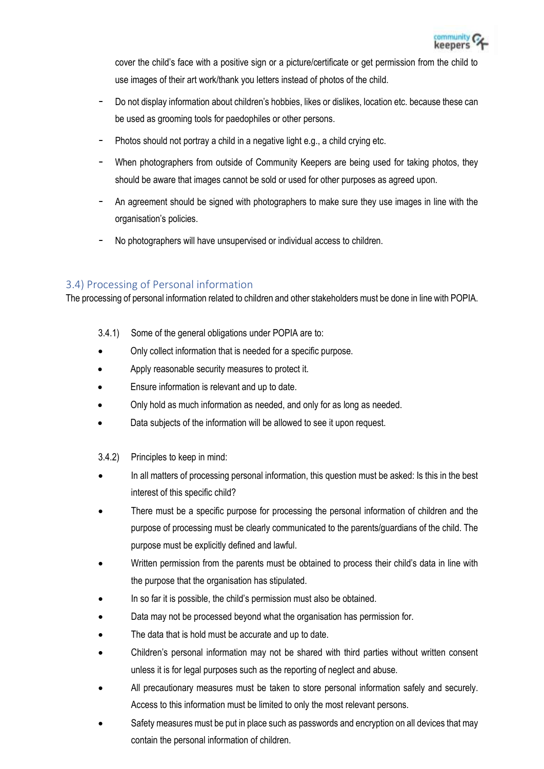

cover the child's face with a positive sign or a picture/certificate or get permission from the child to use images of their art work/thank you letters instead of photos of the child.

- Do not display information about children's hobbies, likes or dislikes, location etc. because these can be used as grooming tools for paedophiles or other persons.
- Photos should not portray a child in a negative light e.g., a child crying etc.
- When photographers from outside of Community Keepers are being used for taking photos, they should be aware that images cannot be sold or used for other purposes as agreed upon.
- An agreement should be signed with photographers to make sure they use images in line with the organisation's policies.
- No photographers will have unsupervised or individual access to children.

#### <span id="page-11-0"></span>3.4) Processing of Personal information

The processing of personal information related to children and other stakeholders must be done in line with POPIA.

- 3.4.1) Some of the general obligations under POPIA are to:
- Only collect information that is needed for a specific purpose.
- Apply reasonable security measures to protect it.
- Ensure information is relevant and up to date.
- Only hold as much information as needed, and only for as long as needed.
- Data subjects of the information will be allowed to see it upon request.
- 3.4.2) Principles to keep in mind:
- In all matters of processing personal information, this question must be asked: Is this in the best interest of this specific child?
- There must be a specific purpose for processing the personal information of children and the purpose of processing must be clearly communicated to the parents/guardians of the child. The purpose must be explicitly defined and lawful.
- Written permission from the parents must be obtained to process their child's data in line with the purpose that the organisation has stipulated.
- In so far it is possible, the child's permission must also be obtained.
- Data may not be processed beyond what the organisation has permission for.
- The data that is hold must be accurate and up to date.
- Children's personal information may not be shared with third parties without written consent unless it is for legal purposes such as the reporting of neglect and abuse.
- All precautionary measures must be taken to store personal information safely and securely. Access to this information must be limited to only the most relevant persons.
- Safety measures must be put in place such as passwords and encryption on all devices that may contain the personal information of children.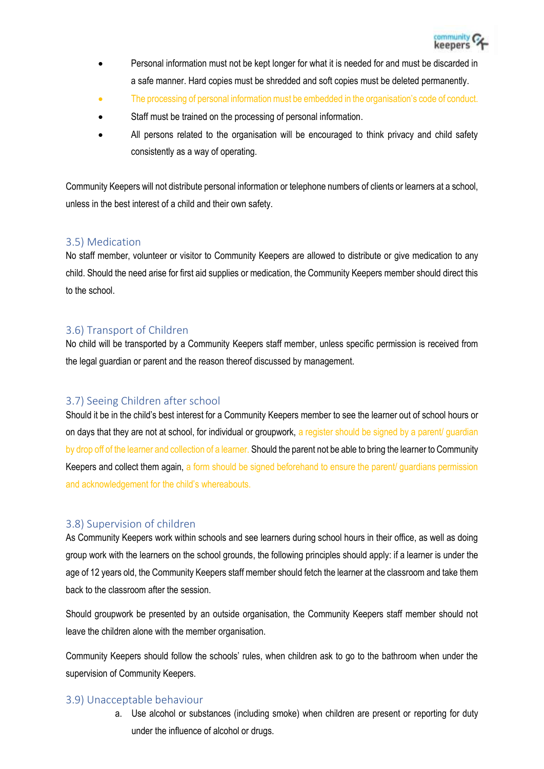

- Personal information must not be kept longer for what it is needed for and must be discarded in a safe manner. Hard copies must be shredded and soft copies must be deleted permanently.
- The processing of personal information must be embedded in the organisation's code of conduct.
- Staff must be trained on the processing of personal information.
- All persons related to the organisation will be encouraged to think privacy and child safety consistently as a way of operating.

Community Keepers will not distribute personal information or telephone numbers of clients or learners at a school, unless in the best interest of a child and their own safety.

#### <span id="page-12-0"></span>3.5) Medication

No staff member, volunteer or visitor to Community Keepers are allowed to distribute or give medication to any child. Should the need arise for first aid supplies or medication, the Community Keepers member should direct this to the school.

#### <span id="page-12-1"></span>3.6) Transport of Children

No child will be transported by a Community Keepers staff member, unless specific permission is received from the legal guardian or parent and the reason thereof discussed by management.

#### <span id="page-12-2"></span>3.7) Seeing Children after school

Should it be in the child's best interest for a Community Keepers member to see the learner out of school hours or on days that they are not at school, for individual or groupwork, a register should be signed by a parent/ guardian by drop off of the learner and collection of a learner. Should the parent not be able to bring the learner to Community Keepers and collect them again, a form should be signed beforehand to ensure the parent/ quardians permission and acknowledgement for the child's whereabouts.

#### <span id="page-12-3"></span>3.8) Supervision of children

As Community Keepers work within schools and see learners during school hours in their office, as well as doing group work with the learners on the school grounds, the following principles should apply: if a learner is under the age of 12 years old, the Community Keepers staff member should fetch the learner at the classroom and take them back to the classroom after the session.

Should groupwork be presented by an outside organisation, the Community Keepers staff member should not leave the children alone with the member organisation.

Community Keepers should follow the schools' rules, when children ask to go to the bathroom when under the supervision of Community Keepers.

#### <span id="page-12-4"></span>3.9) Unacceptable behaviour

a. Use alcohol or substances (including smoke) when children are present or reporting for duty under the influence of alcohol or drugs.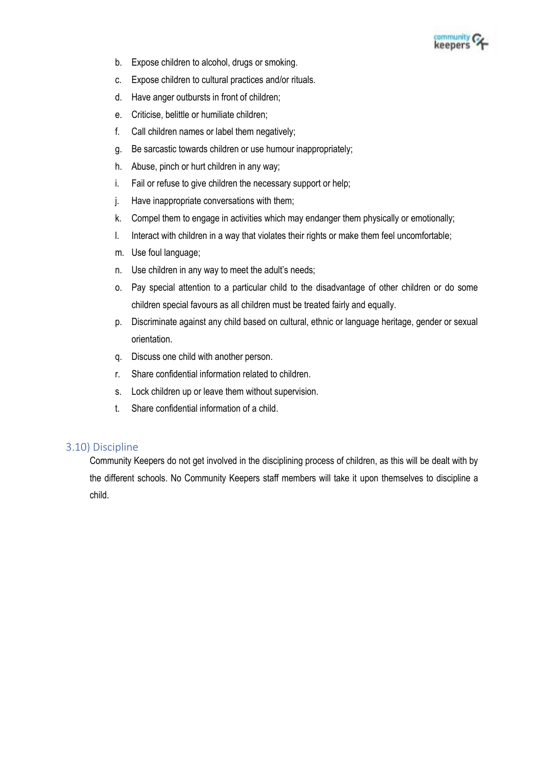

- b. Expose children to alcohol, drugs or smoking.
- c. Expose children to cultural practices and/or rituals.
- d. Have anger outbursts in front of children;
- e. Criticise, belittle or humiliate children;
- f. Call children names or label them negatively;
- g. Be sarcastic towards children or use humour inappropriately;
- h. Abuse, pinch or hurt children in any way;
- i. Fail or refuse to give children the necessary support or help;
- j. Have inappropriate conversations with them;
- k. Compel them to engage in activities which may endanger them physically or emotionally;
- l. Interact with children in a way that violates their rights or make them feel uncomfortable;
- m. Use foul language;
- n. Use children in any way to meet the adult's needs;
- o. Pay special attention to a particular child to the disadvantage of other children or do some children special favours as all children must be treated fairly and equally.
- p. Discriminate against any child based on cultural, ethnic or language heritage, gender or sexual orientation.
- q. Discuss one child with another person.
- r. Share confidential information related to children.
- s. Lock children up or leave them without supervision.
- t. Share confidential information of a child.

#### <span id="page-13-0"></span>3.10) Discipline

Community Keepers do not get involved in the disciplining process of children, as this will be dealt with by the different schools. No Community Keepers staff members will take it upon themselves to discipline a child.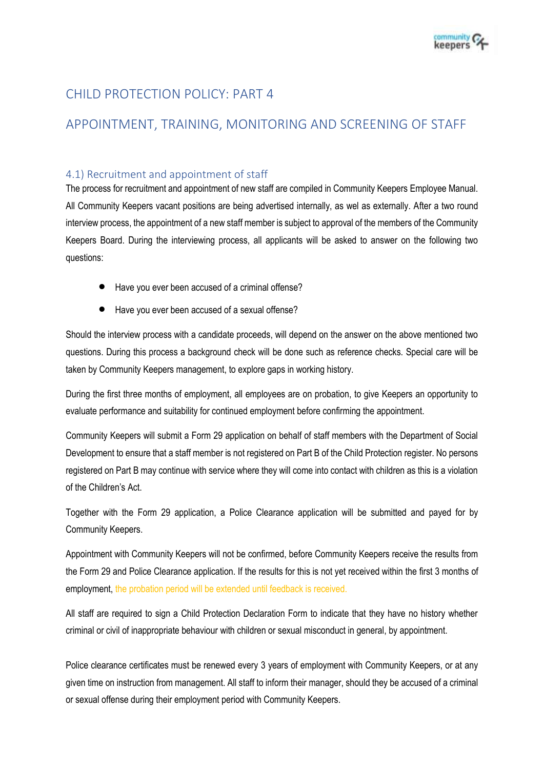### <span id="page-14-1"></span><span id="page-14-0"></span>APPOINTMENT, TRAINING, MONITORING AND SCREENING OF STAFF

#### <span id="page-14-2"></span>4.1) Recruitment and appointment of staff

The process for recruitment and appointment of new staff are compiled in Community Keepers Employee Manual. All Community Keepers vacant positions are being advertised internally, as wel as externally. After a two round interview process, the appointment of a new staff member is subject to approval of the members of the Community Keepers Board. During the interviewing process, all applicants will be asked to answer on the following two questions:

- Have you ever been accused of a criminal offense?
- Have you ever been accused of a sexual offense?

Should the interview process with a candidate proceeds, will depend on the answer on the above mentioned two questions. During this process a background check will be done such as reference checks. Special care will be taken by Community Keepers management, to explore gaps in working history.

During the first three months of employment, all employees are on probation, to give Keepers an opportunity to evaluate performance and suitability for continued employment before confirming the appointment.

Community Keepers will submit a Form 29 application on behalf of staff members with the Department of Social Development to ensure that a staff member is not registered on Part B of the Child Protection register. No persons registered on Part B may continue with service where they will come into contact with children as this is a violation of the Children's Act.

Together with the Form 29 application, a Police Clearance application will be submitted and payed for by Community Keepers.

Appointment with Community Keepers will not be confirmed, before Community Keepers receive the results from the Form 29 and Police Clearance application. If the results for this is not yet received within the first 3 months of employment, the probation period will be extended until feedback is received.

All staff are required to sign a Child Protection Declaration Form to indicate that they have no history whether criminal or civil of inappropriate behaviour with children or sexual misconduct in general, by appointment.

Police clearance certificates must be renewed every 3 years of employment with Community Keepers, or at any given time on instruction from management. All staff to inform their manager, should they be accused of a criminal or sexual offense during their employment period with Community Keepers.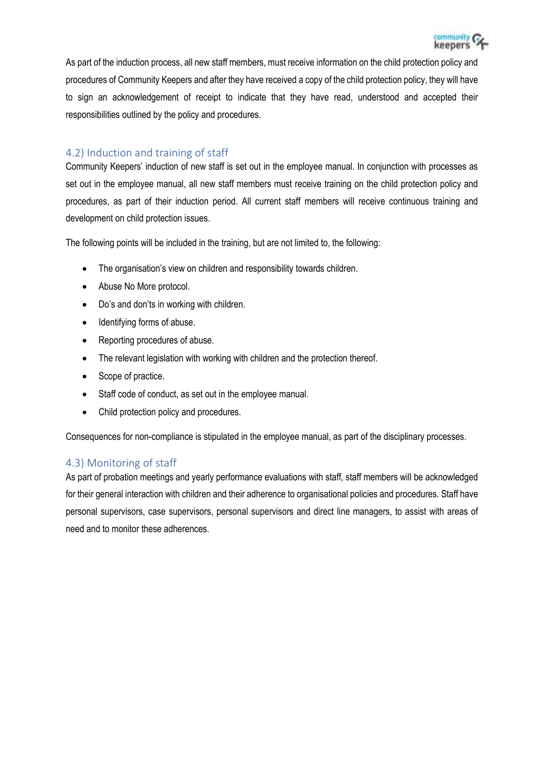

As part of the induction process, all new staff members, must receive information on the child protection policy and procedures of Community Keepers and after they have received a copy of the child protection policy, they will have to sign an acknowledgement of receipt to indicate that they have read, understood and accepted their responsibilities outlined by the policy and procedures.

#### <span id="page-15-0"></span>4.2) Induction and training of staff

Community Keepers' induction of new staff is set out in the employee manual. In conjunction with processes as set out in the employee manual, all new staff members must receive training on the child protection policy and procedures, as part of their induction period. All current staff members will receive continuous training and development on child protection issues.

The following points will be included in the training, but are not limited to, the following:

- The organisation's view on children and responsibility towards children.
- Abuse No More protocol.
- Do's and don'ts in working with children.
- Identifying forms of abuse.
- Reporting procedures of abuse.
- The relevant legislation with working with children and the protection thereof.
- Scope of practice.
- Staff code of conduct, as set out in the employee manual.
- Child protection policy and procedures.

Consequences for non-compliance is stipulated in the employee manual, as part of the disciplinary processes.

#### <span id="page-15-1"></span>4.3) Monitoring of staff

As part of probation meetings and yearly performance evaluations with staff, staff members will be acknowledged for their general interaction with children and their adherence to organisational policies and procedures. Staff have personal supervisors, case supervisors, personal supervisors and direct line managers, to assist with areas of need and to monitor these adherences.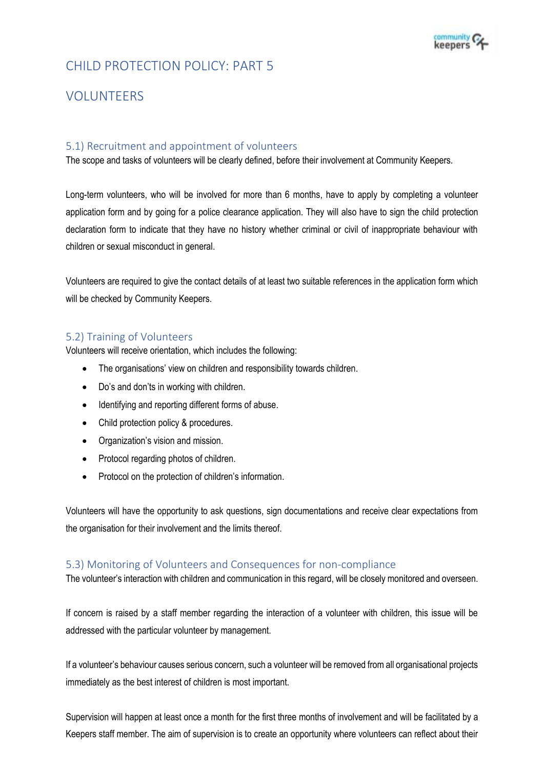

### <span id="page-16-1"></span><span id="page-16-0"></span>VOLUNTEERS

#### <span id="page-16-2"></span>5.1) Recruitment and appointment of volunteers

The scope and tasks of volunteers will be clearly defined, before their involvement at Community Keepers.

Long-term volunteers, who will be involved for more than 6 months, have to apply by completing a volunteer application form and by going for a police clearance application. They will also have to sign the child protection declaration form to indicate that they have no history whether criminal or civil of inappropriate behaviour with children or sexual misconduct in general.

Volunteers are required to give the contact details of at least two suitable references in the application form which will be checked by Community Keepers.

#### <span id="page-16-3"></span>5.2) Training of Volunteers

Volunteers will receive orientation, which includes the following:

- The organisations' view on children and responsibility towards children.
- Do's and don'ts in working with children.
- Identifying and reporting different forms of abuse.
- Child protection policy & procedures.
- Organization's vision and mission.
- Protocol regarding photos of children.
- Protocol on the protection of children's information.

Volunteers will have the opportunity to ask questions, sign documentations and receive clear expectations from the organisation for their involvement and the limits thereof.

#### <span id="page-16-4"></span>5.3) Monitoring of Volunteers and Consequences for non-compliance

The volunteer's interaction with children and communication in this regard, will be closely monitored and overseen.

If concern is raised by a staff member regarding the interaction of a volunteer with children, this issue will be addressed with the particular volunteer by management.

If a volunteer's behaviour causes serious concern, such a volunteer will be removed from all organisational projects immediately as the best interest of children is most important.

Supervision will happen at least once a month for the first three months of involvement and will be facilitated by a Keepers staff member. The aim of supervision is to create an opportunity where volunteers can reflect about their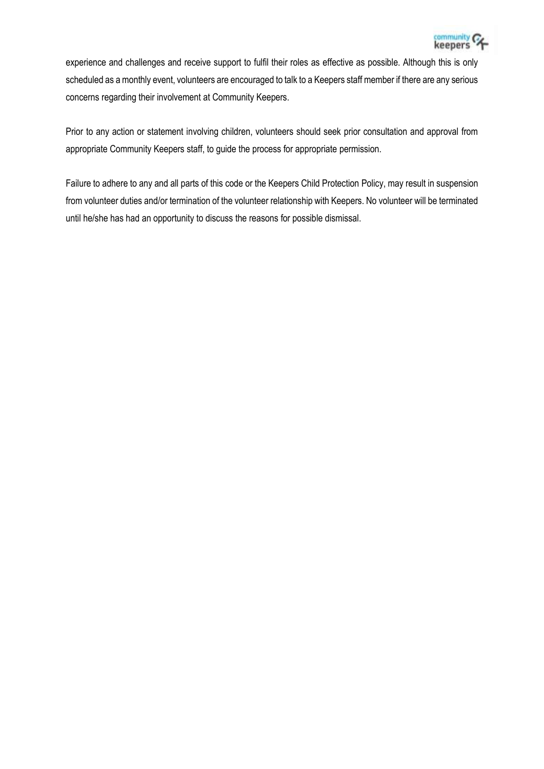

experience and challenges and receive support to fulfil their roles as effective as possible. Although this is only scheduled as a monthly event, volunteers are encouraged to talk to a Keepers staff member if there are any serious concerns regarding their involvement at Community Keepers.

Prior to any action or statement involving children, volunteers should seek prior consultation and approval from appropriate Community Keepers staff, to guide the process for appropriate permission.

Failure to adhere to any and all parts of this code or the Keepers Child Protection Policy, may result in suspension from volunteer duties and/or termination of the volunteer relationship with Keepers. No volunteer will be terminated until he/she has had an opportunity to discuss the reasons for possible dismissal.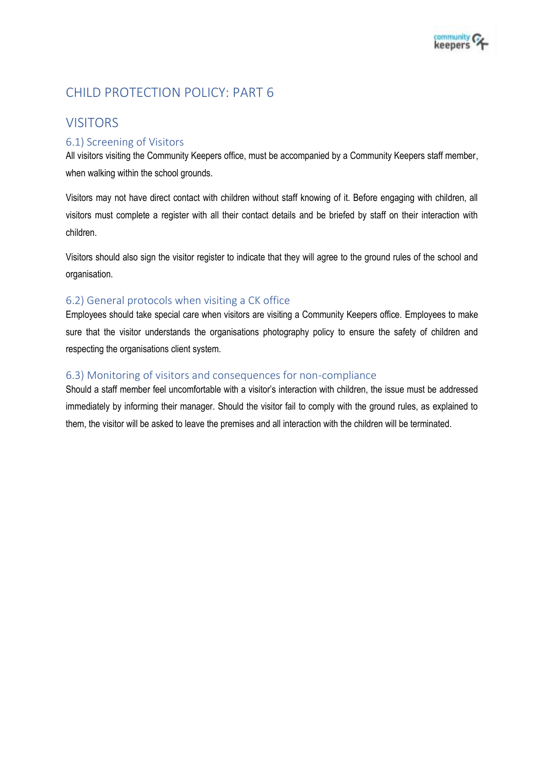

### <span id="page-18-1"></span><span id="page-18-0"></span>**VISITORS**

#### <span id="page-18-2"></span>6.1) Screening of Visitors

All visitors visiting the Community Keepers office, must be accompanied by a Community Keepers staff member, when walking within the school grounds.

Visitors may not have direct contact with children without staff knowing of it. Before engaging with children, all visitors must complete a register with all their contact details and be briefed by staff on their interaction with children.

Visitors should also sign the visitor register to indicate that they will agree to the ground rules of the school and organisation.

#### <span id="page-18-3"></span>6.2) General protocols when visiting a CK office

Employees should take special care when visitors are visiting a Community Keepers office. Employees to make sure that the visitor understands the organisations photography policy to ensure the safety of children and respecting the organisations client system.

#### <span id="page-18-4"></span>6.3) Monitoring of visitors and consequences for non-compliance

Should a staff member feel uncomfortable with a visitor's interaction with children, the issue must be addressed immediately by informing their manager. Should the visitor fail to comply with the ground rules, as explained to them, the visitor will be asked to leave the premises and all interaction with the children will be terminated.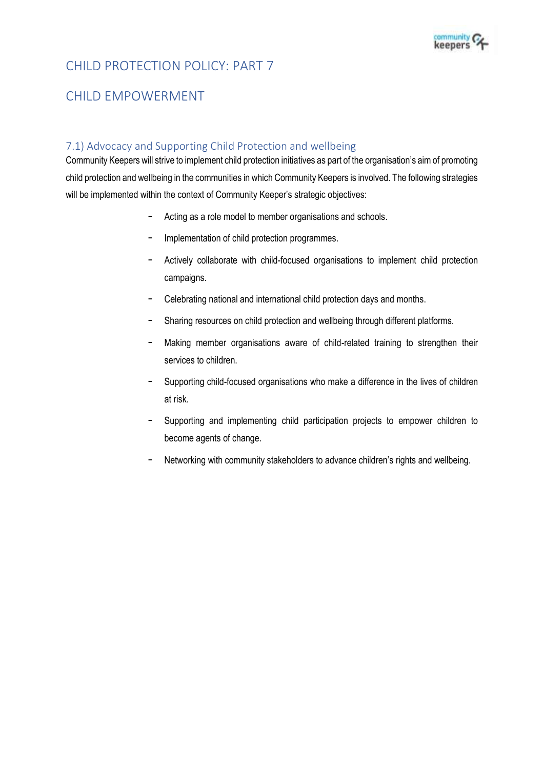

### <span id="page-19-1"></span><span id="page-19-0"></span>CHILD EMPOWERMENT

#### <span id="page-19-2"></span>7.1) Advocacy and Supporting Child Protection and wellbeing

Community Keepers will strive to implement child protection initiatives as part of the organisation's aim of promoting child protection and wellbeing in the communities in which Community Keepers is involved. The following strategies will be implemented within the context of Community Keeper's strategic objectives:

- Acting as a role model to member organisations and schools.
- Implementation of child protection programmes.
- Actively collaborate with child-focused organisations to implement child protection campaigns.
- Celebrating national and international child protection days and months.
- Sharing resources on child protection and wellbeing through different platforms.
- Making member organisations aware of child-related training to strengthen their services to children.
- Supporting child-focused organisations who make a difference in the lives of children at risk.
- Supporting and implementing child participation projects to empower children to become agents of change.
- Networking with community stakeholders to advance children's rights and wellbeing.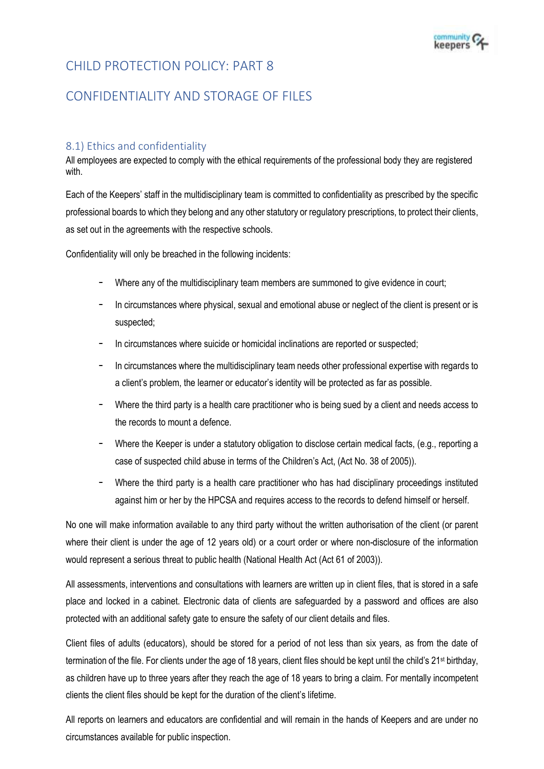

### <span id="page-20-1"></span><span id="page-20-0"></span>CONFIDENTIALITY AND STORAGE OF FILES

#### <span id="page-20-2"></span>8.1) Ethics and confidentiality

All employees are expected to comply with the ethical requirements of the professional body they are registered with.

Each of the Keepers' staff in the multidisciplinary team is committed to confidentiality as prescribed by the specific professional boards to which they belong and any other statutory or regulatory prescriptions, to protect their clients, as set out in the agreements with the respective schools.

Confidentiality will only be breached in the following incidents:

- Where any of the multidisciplinary team members are summoned to give evidence in court;
- In circumstances where physical, sexual and emotional abuse or neglect of the client is present or is suspected;
- In circumstances where suicide or homicidal inclinations are reported or suspected;
- In circumstances where the multidisciplinary team needs other professional expertise with regards to a client's problem, the learner or educator's identity will be protected as far as possible.
- Where the third party is a health care practitioner who is being sued by a client and needs access to the records to mount a defence.
- Where the Keeper is under a statutory obligation to disclose certain medical facts, (e.g., reporting a case of suspected child abuse in terms of the Children's Act, (Act No. 38 of 2005)).
- Where the third party is a health care practitioner who has had disciplinary proceedings instituted against him or her by the HPCSA and requires access to the records to defend himself or herself.

No one will make information available to any third party without the written authorisation of the client (or parent where their client is under the age of 12 years old) or a court order or where non-disclosure of the information would represent a serious threat to public health (National Health Act (Act 61 of 2003)).

All assessments, interventions and consultations with learners are written up in client files, that is stored in a safe place and locked in a cabinet. Electronic data of clients are safeguarded by a password and offices are also protected with an additional safety gate to ensure the safety of our client details and files.

Client files of adults (educators), should be stored for a period of not less than six years, as from the date of termination of the file. For clients under the age of 18 years, client files should be kept until the child's 21<sup>st</sup> birthday, as children have up to three years after they reach the age of 18 years to bring a claim. For mentally incompetent clients the client files should be kept for the duration of the client's lifetime.

All reports on learners and educators are confidential and will remain in the hands of Keepers and are under no circumstances available for public inspection.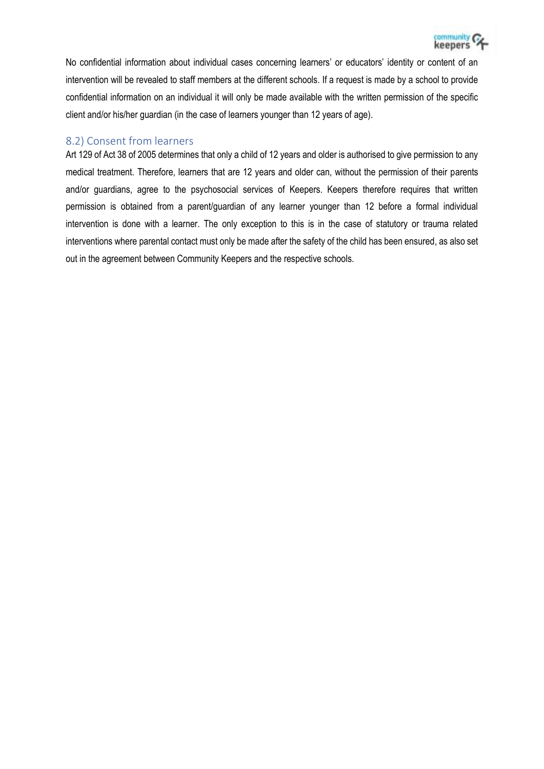

No confidential information about individual cases concerning learners' or educators' identity or content of an intervention will be revealed to staff members at the different schools. If a request is made by a school to provide confidential information on an individual it will only be made available with the written permission of the specific client and/or his/her guardian (in the case of learners younger than 12 years of age).

#### <span id="page-21-0"></span>8.2) Consent from learners

Art 129 of Act 38 of 2005 determines that only a child of 12 years and older is authorised to give permission to any medical treatment. Therefore, learners that are 12 years and older can, without the permission of their parents and/or guardians, agree to the psychosocial services of Keepers. Keepers therefore requires that written permission is obtained from a parent/guardian of any learner younger than 12 before a formal individual intervention is done with a learner. The only exception to this is in the case of statutory or trauma related interventions where parental contact must only be made after the safety of the child has been ensured, as also set out in the agreement between Community Keepers and the respective schools.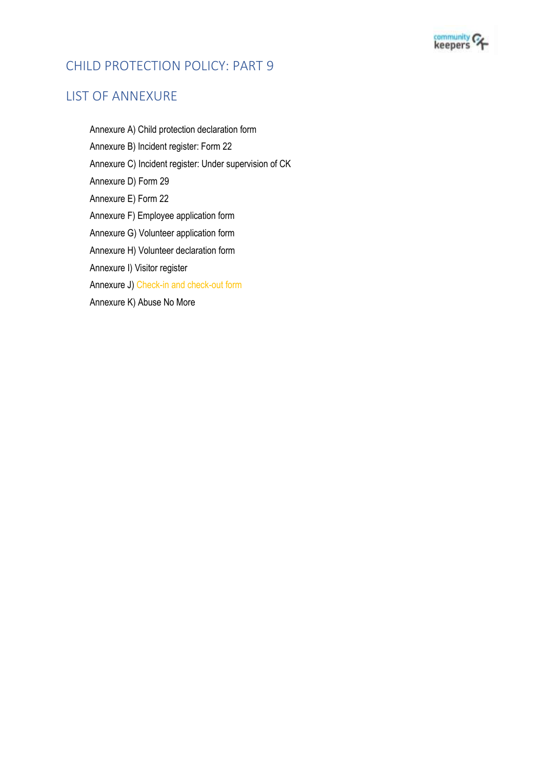

### <span id="page-22-1"></span><span id="page-22-0"></span>LIST OF ANNEXURE

- Annexure A) Child protection declaration form
- Annexure B) Incident register: Form 22
- Annexure C) Incident register: Under supervision of CK
- Annexure D) Form 29
- Annexure E) Form 22
- Annexure F) Employee application form
- Annexure G) Volunteer application form
- Annexure H) Volunteer declaration form
- Annexure I) Visitor register
- Annexure J) Check-in and check-out form
- Annexure K) Abuse No More